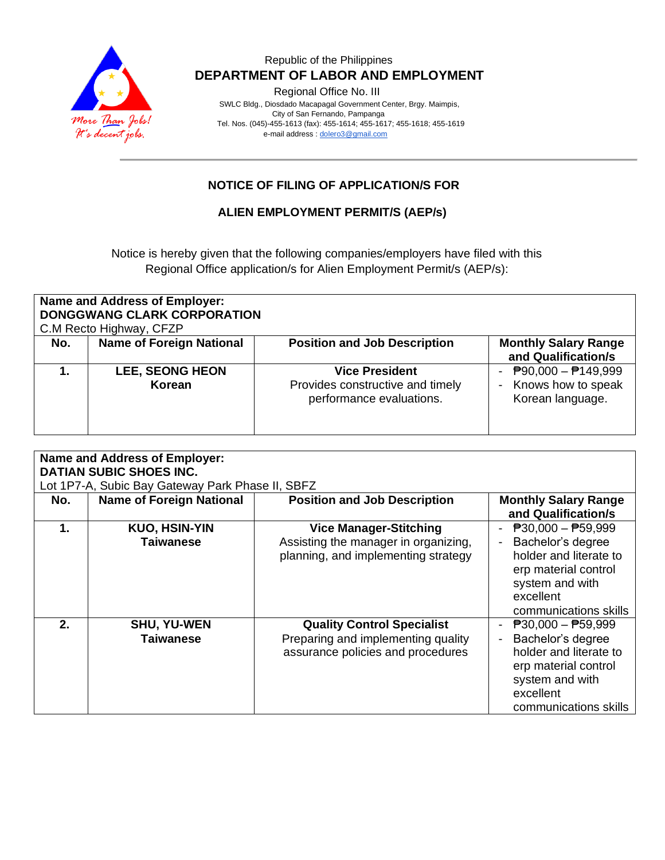

#### Republic of the Philippines  **DEPARTMENT OF LABOR AND EMPLOYMENT**

Regional Office No. III

 SWLC Bldg., Diosdado Macapagal Government Center, Brgy. Maimpis, City of San Fernando, Pampanga Tel. Nos. (045)-455-1613 (fax): 455-1614; 455-1617; 455-1618; 455-1619 e-mail address [: dolero3@gmail.com](mailto:dolero3@gmail.com)

## **NOTICE OF FILING OF APPLICATION/S FOR**

#### **ALIEN EMPLOYMENT PERMIT/S (AEP/s)**

Notice is hereby given that the following companies/employers have filed with this Regional Office application/s for Alien Employment Permit/s (AEP/s):

| <b>Name and Address of Employer:</b><br><b>DONGGWANG CLARK CORPORATION</b><br>C.M Recto Highway, CFZP |                                  |                                                                                       |                                                                                      |  |  |  |
|-------------------------------------------------------------------------------------------------------|----------------------------------|---------------------------------------------------------------------------------------|--------------------------------------------------------------------------------------|--|--|--|
| No.                                                                                                   | <b>Name of Foreign National</b>  | <b>Position and Job Description</b>                                                   | <b>Monthly Salary Range</b><br>and Qualification/s                                   |  |  |  |
|                                                                                                       | <b>LEE, SEONG HEON</b><br>Korean | <b>Vice President</b><br>Provides constructive and timely<br>performance evaluations. | $\overline{P}90,000 - \overline{P}149,999$<br>Knows how to speak<br>Korean language. |  |  |  |

| <b>Name and Address of Employer:</b><br><b>DATIAN SUBIC SHOES INC.</b><br>Lot 1P7-A, Subic Bay Gateway Park Phase II, SBFZ |                                          |                                                                                                              |                                                                                                                                                                           |  |  |  |
|----------------------------------------------------------------------------------------------------------------------------|------------------------------------------|--------------------------------------------------------------------------------------------------------------|---------------------------------------------------------------------------------------------------------------------------------------------------------------------------|--|--|--|
| No.                                                                                                                        | <b>Name of Foreign National</b>          | <b>Position and Job Description</b>                                                                          | <b>Monthly Salary Range</b><br>and Qualification/s                                                                                                                        |  |  |  |
| $\mathbf 1$ .                                                                                                              | <b>KUO, HSIN-YIN</b><br><b>Taiwanese</b> | <b>Vice Manager-Stitching</b><br>Assisting the manager in organizing,<br>planning, and implementing strategy | $\overline{P}30,000 - \overline{P}59,999$<br>Bachelor's degree<br>holder and literate to<br>erp material control<br>system and with<br>excellent<br>communications skills |  |  |  |
| 2.                                                                                                                         | <b>SHU, YU-WEN</b><br><b>Taiwanese</b>   | <b>Quality Control Specialist</b><br>Preparing and implementing quality<br>assurance policies and procedures | $\overline{P}30,000 - \overline{P}59,999$<br>Bachelor's degree<br>holder and literate to<br>erp material control<br>system and with<br>excellent<br>communications skills |  |  |  |